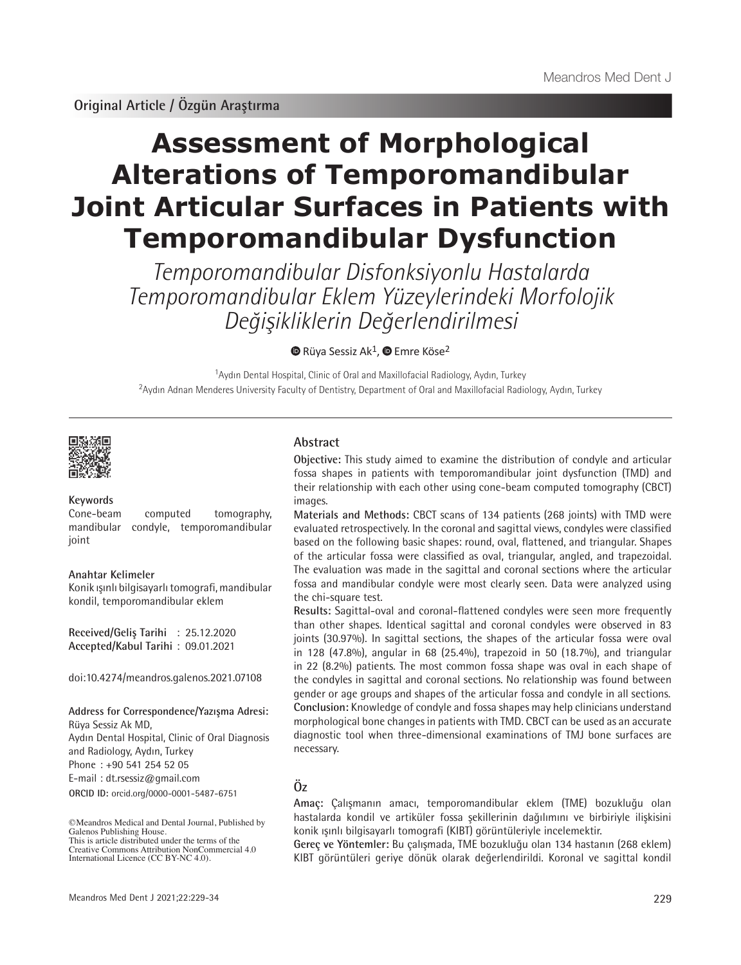# **Assessment of Morphological Alterations of Temporomandibular Joint Articular Surfaces in Patients with Temporomandibular Dysfunction**

Temporomandibular Disfonksiyonlu Hastalarda Temporomandibular Eklem Yüzeylerindeki Morfolojik Değişikliklerin Değerlendirilmesi

 $\bullet$ Rüya Sessiz Ak<sup>1</sup>,  $\bullet$  Emre Köse<sup>2</sup>

<sup>1</sup>Aydın Dental Hospital, Clinic of Oral and Maxillofacial Radiology, Aydın, Turkey <sup>2</sup>Aydın Adnan Menderes University Faculty of Dentistry, Department of Oral and Maxillofacial Radiology, Aydın, Turkey



#### **Keywords**

Cone-beam computed tomography, mandibular condyle, temporomandibular joint

### **Anahtar Kelimeler**

Konik ışınlı bilgisayarlı tomografi, mandibular kondil, temporomandibular eklem

**Received/Geliş Tarihi** : 25.12.2020 **Accepted/Kabul Tarihi** : 09.01.2021

doi:10.4274/meandros.galenos.2021.07108

#### **Address for Correspondence/Yazışma Adresi:** Rüya Sessiz Ak MD,

**ORCID ID:** orcid.org/0000-0001-5487-6751 Aydın Dental Hospital, Clinic of Oral Diagnosis and Radiology, Aydın, Turkey Phone : +90 541 254 52 05 E-mail : dt.rsessiz@gmail.com

©Meandros Medical and Dental Journal, Published by Galenos Publishing House. This is article distributed under the terms of the

### **Abstract**

**Objective:** This study aimed to examine the distribution of condyle and articular fossa shapes in patients with temporomandibular joint dysfunction (TMD) and their relationship with each other using cone-beam computed tomography (CBCT) images.

**Materials and Methods:** CBCT scans of 134 patients (268 joints) with TMD were evaluated retrospectively. In the coronal and sagittal views, condyles were classified based on the following basic shapes: round, oval, flattened, and triangular. Shapes of the articular fossa were classified as oval, triangular, angled, and trapezoidal. The evaluation was made in the sagittal and coronal sections where the articular fossa and mandibular condyle were most clearly seen. Data were analyzed using the chi-square test.

**Results:** Sagittal-oval and coronal-flattened condyles were seen more frequently than other shapes. Identical sagittal and coronal condyles were observed in 83 joints (30.97%). In sagittal sections, the shapes of the articular fossa were oval in 128 (47.8%), angular in 68 (25.4%), trapezoid in 50 (18.7%), and triangular in 22 (8.2%) patients. The most common fossa shape was oval in each shape of the condyles in sagittal and coronal sections. No relationship was found between gender or age groups and shapes of the articular fossa and condyle in all sections. **Conclusion:** Knowledge of condyle and fossa shapes may help clinicians understand morphological bone changes in patients with TMD. CBCT can be used as an accurate diagnostic tool when three-dimensional examinations of TMJ bone surfaces are necessary.

# **Öz**

**Amaç:** Çalışmanın amacı, temporomandibular eklem (TME) bozukluğu olan hastalarda kondil ve artiküler fossa şekillerinin dağılımını ve birbiriyle ilişkisini konik ışınlı bilgisayarlı tomografi (KIBT) görüntüleriyle incelemektir.

**Gereç ve Yöntemler:** Bu çalışmada, TME bozukluğu olan 134 hastanın (268 eklem) KIBT görüntüleri geriye dönük olarak değerlendirildi. Koronal ve sagittal kondil

Creative Commons Attribution NonCommercial 4.0 International Licence (CC BY-NC 4.0).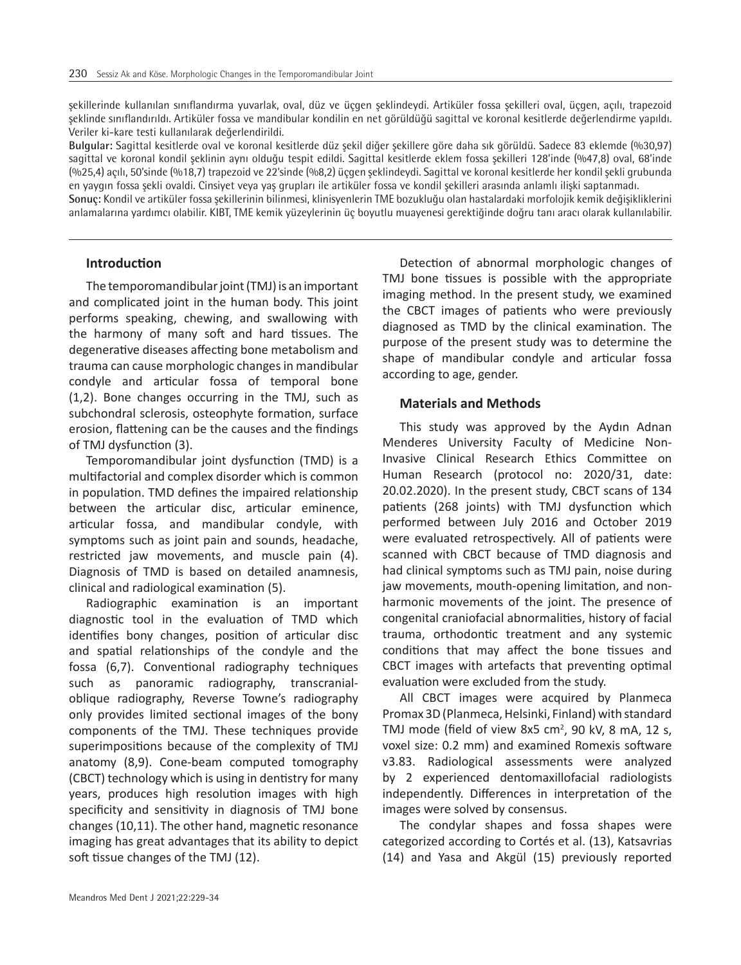şekillerinde kullanılan sınıflandırma yuvarlak, oval, düz ve üçgen şeklindeydi. Artiküler fossa şekilleri oval, üçgen, açılı, trapezoid şeklinde sınıflandırıldı. Artiküler fossa ve mandibular kondilin en net görüldüğü sagittal ve koronal kesitlerde değerlendirme yapıldı. Veriler ki-kare testi kullanılarak değerlendirildi.

**Bulgular:** Sagittal kesitlerde oval ve koronal kesitlerde düz şekil diğer şekillere göre daha sık görüldü. Sadece 83 eklemde (%30,97) sagittal ve koronal kondil şeklinin aynı olduğu tespit edildi. Sagittal kesitlerde eklem fossa şekilleri 128'inde (%47,8) oval, 68'inde (%25,4) açılı, 50'sinde (%18,7) trapezoid ve 22'sinde (%8,2) üçgen şeklindeydi. Sagittal ve koronal kesitlerde her kondil şekli grubunda en yaygın fossa şekli ovaldi. Cinsiyet veya yaş grupları ile artiküler fossa ve kondil şekilleri arasında anlamlı ilişki saptanmadı. **Sonuç:** Kondil ve artiküler fossa şekillerinin bilinmesi, klinisyenlerin TME bozukluğu olan hastalardaki morfolojik kemik değişikliklerini

anlamalarına yardımcı olabilir. KIBT, TME kemik yüzeylerinin üç boyutlu muayenesi gerektiğinde doğru tanı aracı olarak kullanılabilir.

#### **Introduction**

The temporomandibular joint (TMJ) is an important and complicated joint in the human body. This joint performs speaking, chewing, and swallowing with the harmony of many soft and hard tissues. The degenerative diseases affecting bone metabolism and trauma can cause morphologic changes in mandibular condyle and articular fossa of temporal bone (1,2). Bone changes occurring in the TMJ, such as subchondral sclerosis, osteophyte formation, surface erosion, flattening can be the causes and the findings of TMJ dysfunction (3).

Temporomandibular joint dysfunction (TMD) is a multifactorial and complex disorder which is common in population. TMD defines the impaired relationship between the articular disc, articular eminence, articular fossa, and mandibular condyle, with symptoms such as joint pain and sounds, headache, restricted jaw movements, and muscle pain (4). Diagnosis of TMD is based on detailed anamnesis, clinical and radiological examination (5).

Radiographic examination is an important diagnostic tool in the evaluation of TMD which identifies bony changes, position of articular disc and spatial relationships of the condyle and the fossa (6,7). Conventional radiography techniques such as panoramic radiography, transcranialoblique radiography, Reverse Towne's radiography only provides limited sectional images of the bony components of the TMJ. These techniques provide superimpositions because of the complexity of TMJ anatomy (8,9). Cone-beam computed tomography (CBCT) technology which is using in dentistry for many years, produces high resolution images with high specificity and sensitivity in diagnosis of TMJ bone changes (10,11). The other hand, magnetic resonance imaging has great advantages that its ability to depict soft tissue changes of the TMJ (12).

Detection of abnormal morphologic changes of TMJ bone tissues is possible with the appropriate imaging method. In the present study, we examined the CBCT images of patients who were previously diagnosed as TMD by the clinical examination. The purpose of the present study was to determine the shape of mandibular condyle and articular fossa according to age, gender.

#### **Materials and Methods**

This study was approved by the Aydın Adnan Menderes University Faculty of Medicine Non-Invasive Clinical Research Ethics Committee on Human Research (protocol no: 2020/31, date: 20.02.2020). In the present study, CBCT scans of 134 patients (268 joints) with TMJ dysfunction which performed between July 2016 and October 2019 were evaluated retrospectively. All of patients were scanned with CBCT because of TMD diagnosis and had clinical symptoms such as TMJ pain, noise during jaw movements, mouth-opening limitation, and nonharmonic movements of the joint. The presence of congenital craniofacial abnormalities, history of facial trauma, orthodontic treatment and any systemic conditions that may affect the bone tissues and CBCT images with artefacts that preventing optimal evaluation were excluded from the study.

All CBCT images were acquired by Planmeca Promax 3D (Planmeca, Helsinki, Finland) with standard TMJ mode (field of view 8x5 cm<sup>2</sup>, 90 kV, 8 mA, 12 s, voxel size: 0.2 mm) and examined Romexis software v3.83. Radiological assessments were analyzed by 2 experienced dentomaxillofacial radiologists independently. Differences in interpretation of the images were solved by consensus.

The condylar shapes and fossa shapes were categorized according to Cortés et al. (13), Katsavrias (14) and Yasa and Akgül (15) previously reported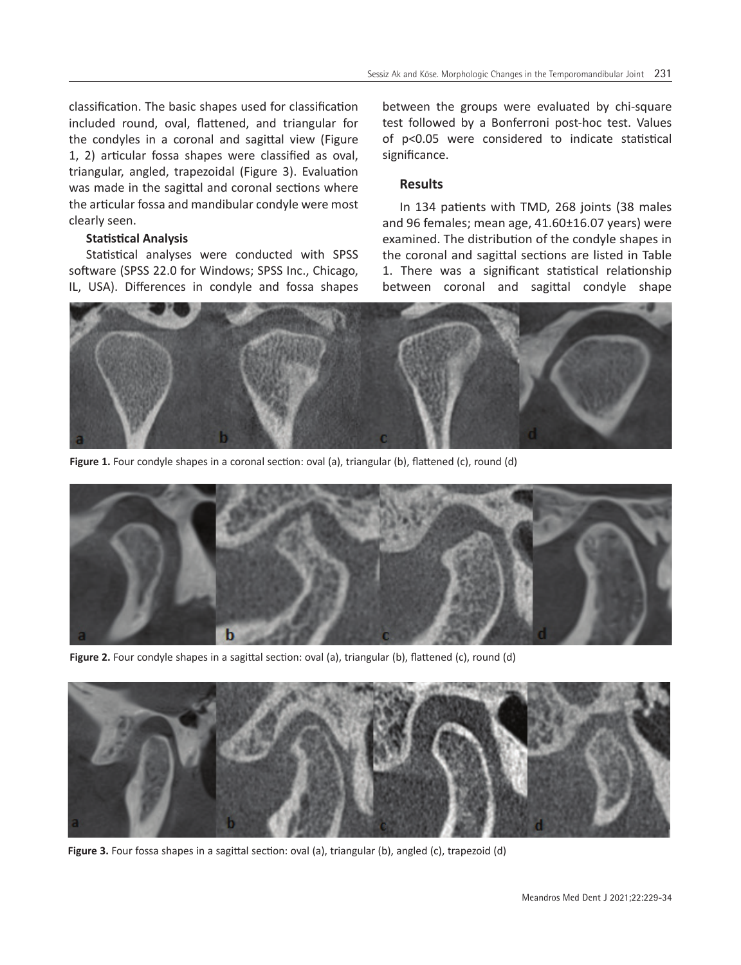classification. The basic shapes used for classification included round, oval, flattened, and triangular for the condyles in a coronal and sagittal view (Figure 1, 2) articular fossa shapes were classified as oval, triangular, angled, trapezoidal (Figure 3). Evaluation was made in the sagittal and coronal sections where the articular fossa and mandibular condyle were most clearly seen.

# **Statistical Analysis**

Statistical analyses were conducted with SPSS software (SPSS 22.0 for Windows; SPSS Inc., Chicago, IL, USA). Differences in condyle and fossa shapes between the groups were evaluated by chi-square test followed by a Bonferroni post-hoc test. Values of p<0.05 were considered to indicate statistical significance.

# **Results**

In 134 patients with TMD, 268 joints (38 males and 96 females; mean age, 41.60±16.07 years) were examined. The distribution of the condyle shapes in the coronal and sagittal sections are listed in Table 1. There was a significant statistical relationship between coronal and sagittal condyle shape



Figure 1. Four condyle shapes in a coronal section: oval (a), triangular (b), flattened (c), round (d)



Figure 2. Four condyle shapes in a sagittal section: oval (a), triangular (b), flattened (c), round (d)



**Figure 3.** Four fossa shapes in a sagittal section: oval (a), triangular (b), angled (c), trapezoid (d)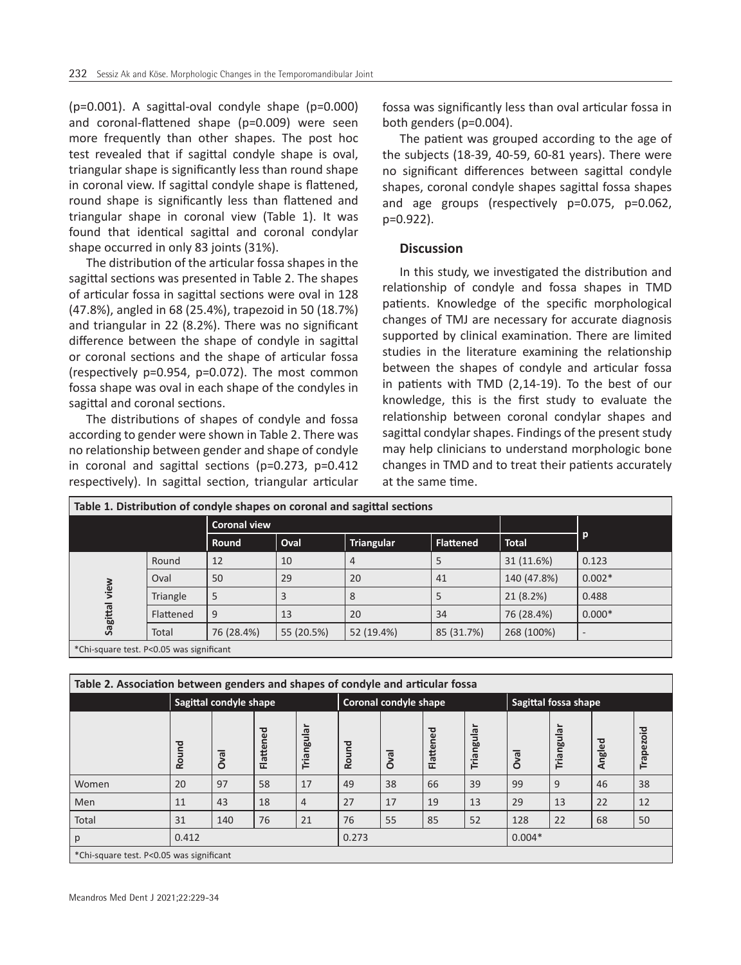(p=0.001). A sagittal-oval condyle shape (p=0.000) and coronal-flattened shape (p=0.009) were seen more frequently than other shapes. The post hoc test revealed that if sagittal condyle shape is oval, triangular shape is significantly less than round shape in coronal view. If sagittal condyle shape is flattened, round shape is significantly less than flattened and triangular shape in coronal view (Table 1). It was found that identical sagittal and coronal condylar shape occurred in only 83 joints (31%).

The distribution of the articular fossa shapes in the sagittal sections was presented in Table 2. The shapes of articular fossa in sagittal sections were oval in 128 (47.8%), angled in 68 (25.4%), trapezoid in 50 (18.7%) and triangular in 22 (8.2%). There was no significant difference between the shape of condyle in sagittal or coronal sections and the shape of articular fossa (respectively p=0.954, p=0.072). The most common fossa shape was oval in each shape of the condyles in sagittal and coronal sections.

The distributions of shapes of condyle and fossa according to gender were shown in Table 2. There was no relationship between gender and shape of condyle in coronal and sagittal sections (p=0.273, p=0.412 respectively). In sagittal section, triangular articular

fossa was significantly less than oval articular fossa in both genders (p=0.004).

The patient was grouped according to the age of the subjects (18-39, 40-59, 60-81 years). There were no significant differences between sagittal condyle shapes, coronal condyle shapes sagittal fossa shapes and age groups (respectively p=0.075, p=0.062, p=0.922).

#### **Discussion**

In this study, we investigated the distribution and relationship of condyle and fossa shapes in TMD patients. Knowledge of the specific morphological changes of TMJ are necessary for accurate diagnosis supported by clinical examination. There are limited studies in the literature examining the relationship between the shapes of condyle and articular fossa in patients with TMD (2,14-19). To the best of our knowledge, this is the first study to evaluate the relationship between coronal condylar shapes and sagittal condylar shapes. Findings of the present study may help clinicians to understand morphologic bone changes in TMD and to treat their patients accurately at the same time.

| Table 1. Distribution of condyle shapes on coronal and sagittal sections |           |                     |            |                   |                  |              |                              |  |  |
|--------------------------------------------------------------------------|-----------|---------------------|------------|-------------------|------------------|--------------|------------------------------|--|--|
|                                                                          |           | <b>Coronal view</b> |            |                   |                  |              |                              |  |  |
|                                                                          |           | Round               | Oval       | <b>Triangular</b> | <b>Flattened</b> | <b>Total</b> | $\mathsf{p}$                 |  |  |
| view<br>Sagittal                                                         | Round     | 12                  | 10         | 4                 | 5                | 31 (11.6%)   | 0.123                        |  |  |
|                                                                          | Oval      | 50                  | 29         | 20                | 41               | 140 (47.8%)  | $0.002*$                     |  |  |
|                                                                          | Triangle  | 5                   | 3          | 8                 | 5                | 21 (8.2%)    | 0.488                        |  |  |
|                                                                          | Flattened | 9                   | 13         | 20                | 34               | 76 (28.4%)   | $0.000*$                     |  |  |
|                                                                          | Total     | 76 (28.4%)          | 55 (20.5%) | 52 (19.4%)        | 85 (31.7%)       | 268 (100%)   | $\qquad \qquad \blacksquare$ |  |  |
| <sup>*</sup> Chi-square test. P<0.05 was significant                     |           |                     |            |                   |                  |              |                              |  |  |

| Table 2. Association between genders and shapes of condyle and articular fossa |                        |             |           |                |                       |             |           |            |                      |                |        |                    |
|--------------------------------------------------------------------------------|------------------------|-------------|-----------|----------------|-----------------------|-------------|-----------|------------|----------------------|----------------|--------|--------------------|
|                                                                                | Sagittal condyle shape |             |           |                | Coronal condyle shape |             |           |            | Sagittal fossa shape |                |        |                    |
|                                                                                | Round                  | <b>Dval</b> | Flattened | Triangular     | Round                 | <b>Dval</b> | Flattened | Triangular | <b>Oval</b>          | ngulai<br>Tria | Angled | ᅙ<br>$\circ$<br>pe |
| Women                                                                          | 20                     | 97          | 58        | 17             | 49                    | 38          | 66        | 39         | 99                   | 9              | 46     | 38                 |
| Men                                                                            | 11                     | 43          | 18        | $\overline{4}$ | 27                    | 17          | 19        | 13         | 29                   | 13             | 22     | 12                 |
| Total                                                                          | 31                     | 140         | 76        | 21             | 76                    | 55          | 85        | 52         | 128                  | 22             | 68     | 50                 |
| p                                                                              | 0.412                  |             |           |                | 0.273                 |             |           | $0.004*$   |                      |                |        |                    |
| *Chi-square test. P<0.05 was significant                                       |                        |             |           |                |                       |             |           |            |                      |                |        |                    |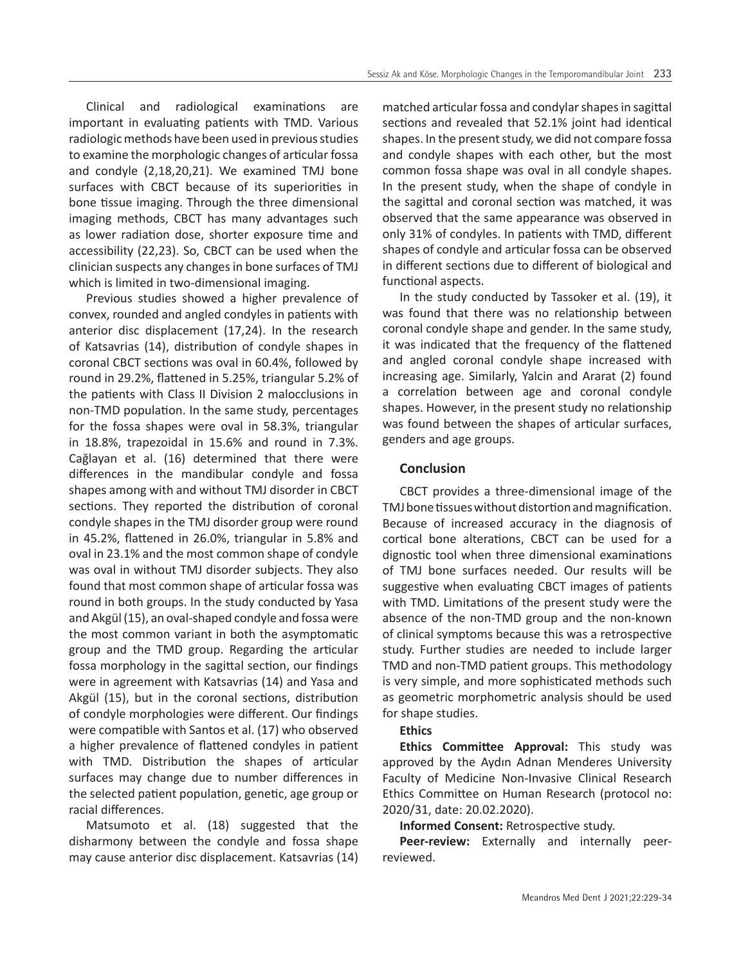Clinical and radiological examinations are important in evaluating patients with TMD. Various radiologic methods have been used in previous studies to examine the morphologic changes of articular fossa and condyle (2,18,20,21). We examined TMJ bone surfaces with CBCT because of its superiorities in bone tissue imaging. Through the three dimensional imaging methods, CBCT has many advantages such as lower radiation dose, shorter exposure time and accessibility (22,23). So, CBCT can be used when the clinician suspects any changes in bone surfaces of TMJ which is limited in two-dimensional imaging.

Previous studies showed a higher prevalence of convex, rounded and angled condyles in patients with anterior disc displacement (17,24). In the research of Katsavrias (14), distribution of condyle shapes in coronal CBCT sections was oval in 60.4%, followed by round in 29.2%, flattened in 5.25%, triangular 5.2% of the patients with Class II Division 2 malocclusions in non-TMD population. In the same study, percentages for the fossa shapes were oval in 58.3%, triangular in 18.8%, trapezoidal in 15.6% and round in 7.3%. Cağlayan et al. (16) determined that there were differences in the mandibular condyle and fossa shapes among with and without TMJ disorder in CBCT sections. They reported the distribution of coronal condyle shapes in the TMJ disorder group were round in 45.2%, flattened in 26.0%, triangular in 5.8% and oval in 23.1% and the most common shape of condyle was oval in without TMJ disorder subjects. They also found that most common shape of articular fossa was round in both groups. In the study conducted by Yasa and Akgül (15), an oval-shaped condyle and fossa were the most common variant in both the asymptomatic group and the TMD group. Regarding the articular fossa morphology in the sagittal section, our findings were in agreement with Katsavrias (14) and Yasa and Akgül (15), but in the coronal sections, distribution of condyle morphologies were different. Our findings were compatible with Santos et al. (17) who observed a higher prevalence of flattened condyles in patient with TMD. Distribution the shapes of articular surfaces may change due to number differences in the selected patient population, genetic, age group or racial differences.

Matsumoto et al. (18) suggested that the disharmony between the condyle and fossa shape may cause anterior disc displacement. Katsavrias (14) matched articular fossa and condylar shapes in sagittal sections and revealed that 52.1% joint had identical shapes. In the present study, we did not compare fossa and condyle shapes with each other, but the most common fossa shape was oval in all condyle shapes. In the present study, when the shape of condyle in the sagittal and coronal section was matched, it was observed that the same appearance was observed in only 31% of condyles. In patients with TMD, different shapes of condyle and articular fossa can be observed in different sections due to different of biological and functional aspects.

In the study conducted by Tassoker et al. (19), it was found that there was no relationship between coronal condyle shape and gender. In the same study, it was indicated that the frequency of the flattened and angled coronal condyle shape increased with increasing age. Similarly, Yalcin and Ararat (2) found a correlation between age and coronal condyle shapes. However, in the present study no relationship was found between the shapes of articular surfaces, genders and age groups.

### **Conclusion**

CBCT provides a three-dimensional image of the TMJ bone tissues without distortion and magnification. Because of increased accuracy in the diagnosis of cortical bone alterations, CBCT can be used for a dignostic tool when three dimensional examinations of TMJ bone surfaces needed. Our results will be suggestive when evaluating CBCT images of patients with TMD. Limitations of the present study were the absence of the non-TMD group and the non-known of clinical symptoms because this was a retrospective study. Further studies are needed to include larger TMD and non-TMD patient groups. This methodology is very simple, and more sophisticated methods such as geometric morphometric analysis should be used for shape studies.

# **Ethics**

**Ethics Committee Approval:** This study was approved by the Aydın Adnan Menderes University Faculty of Medicine Non-Invasive Clinical Research Ethics Committee on Human Research (protocol no: 2020/31, date: 20.02.2020).

**Informed Consent:** Retrospective study.

**Peer-review:** Externally and internally peerreviewed.